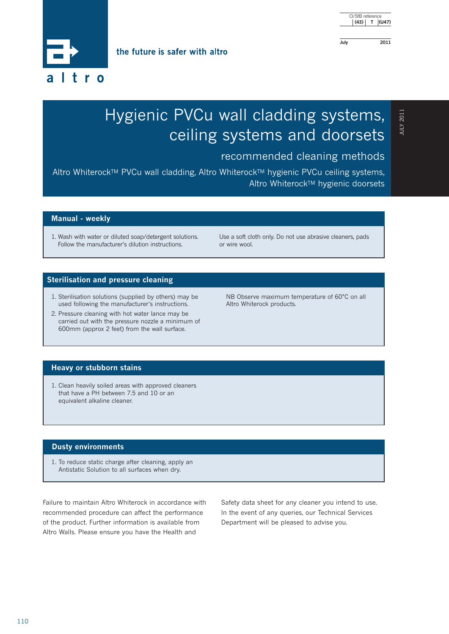CI/SfB reference  **(43) T (U47)**

**July 2011**

the future is safer with altro



## **ILIOZ XJUI** JULY 2011

# Hygienic PVCu wall cladding systems, ceiling systems and doorsets

### recommended cleaning methods

Altro Whiterock™ PVCu wall cladding, Altro Whiterock™ hygienic PVCu ceiling systems, Altro Whiterock™ hygienic doorsets

#### **Manual - weekly**

1. Wash with water or diluted soap/detergent solutions. Follow the manufacturer's dilution instructions.

Use a soft cloth only. Do not use abrasive cleaners, pads or wire wool.

#### **Sterilisation and pressure cleaning**

- 1. Sterilisation solutions (supplied by others) may be used following the manufacturer's instructions.
- 2. Pressure cleaning with hot water lance may be carried out with the pressure nozzle a minimum of 600mm (approx 2 feet) from the wall surface.

NB Observe maximum temperature of 60°C on all Altro Whiterock products.

#### **Heavy or stubborn stains**

1. Clean heavily soiled areas with approved cleaners that have a PH between 7.5 and 10 or an equivalent alkaline cleaner.

#### **Dusty environments**

1. To reduce static charge after cleaning, apply an Antistatic Solution to all surfaces when dry.

Failure to maintain Altro Whiterock in accordance with recommended procedure can affect the performance of the product. Further information is available from Altro Walls. Please ensure you have the Health and

Safety data sheet for any cleaner you intend to use. In the event of any queries, our Technical Services Department will be pleased to advise you.